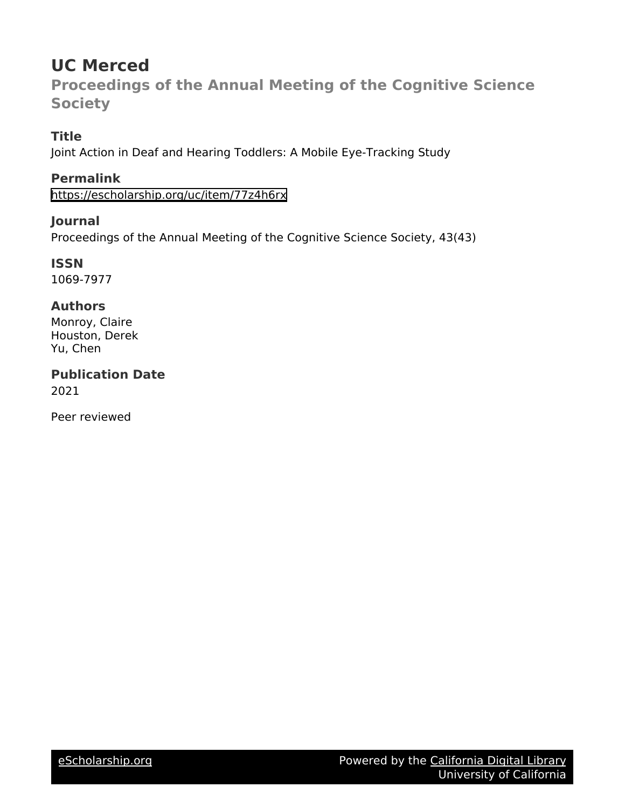# **UC Merced**

**Proceedings of the Annual Meeting of the Cognitive Science Society**

## **Title**

Joint Action in Deaf and Hearing Toddlers: A Mobile Eye-Tracking Study

**Permalink** <https://escholarship.org/uc/item/77z4h6rx>

**Journal**

Proceedings of the Annual Meeting of the Cognitive Science Society, 43(43)

**ISSN** 1069-7977

### **Authors**

Monroy, Claire Houston, Derek Yu, Chen

**Publication Date** 2021

Peer reviewed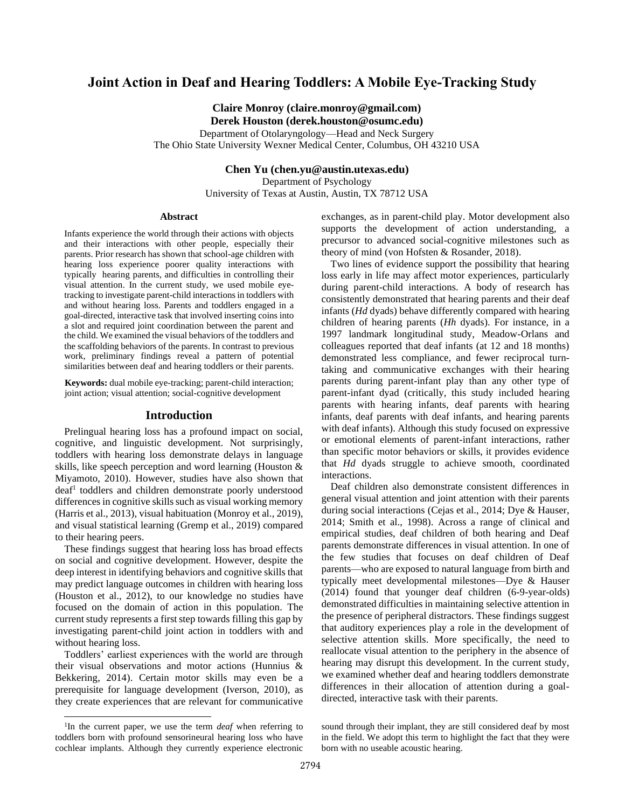### **Joint Action in Deaf and Hearing Toddlers: A Mobile Eye-Tracking Study**

**Claire Monroy (claire.monroy@gmail.com) Derek Houston (derek.houston@osumc.edu)**

Department of Otolaryngology—Head and Neck Surgery The Ohio State University Wexner Medical Center, Columbus, OH 43210 USA

**Chen Yu (chen.yu@austin.utexas.edu)**

Department of Psychology University of Texas at Austin, Austin, TX 78712 USA

#### **Abstract**

Infants experience the world through their actions with objects and their interactions with other people, especially their parents. Prior research has shown that school-age children with hearing loss experience poorer quality interactions with typically hearing parents, and difficulties in controlling their visual attention. In the current study, we used mobile eyetracking to investigate parent-child interactions in toddlers with and without hearing loss. Parents and toddlers engaged in a goal-directed, interactive task that involved inserting coins into a slot and required joint coordination between the parent and the child. We examined the visual behaviors of the toddlers and the scaffolding behaviors of the parents. In contrast to previous work, preliminary findings reveal a pattern of potential similarities between deaf and hearing toddlers or their parents.

**Keywords:** dual mobile eye-tracking; parent-child interaction; joint action; visual attention; social-cognitive development

#### **Introduction**

Prelingual hearing loss has a profound impact on social, cognitive, and linguistic development. Not surprisingly, toddlers with hearing loss demonstrate delays in language skills, like speech perception and word learning (Houston & Miyamoto, 2010). However, studies have also shown that deaf<sup>1</sup> toddlers and children demonstrate poorly understood differences in cognitive skills such as visual working memory (Harris et al., 2013), visual habituation (Monroy et al., 2019), and visual statistical learning (Gremp et al., 2019) compared to their hearing peers.

These findings suggest that hearing loss has broad effects on social and cognitive development. However, despite the deep interest in identifying behaviors and cognitive skills that may predict language outcomes in children with hearing loss (Houston et al., 2012), to our knowledge no studies have focused on the domain of action in this population. The current study represents a first step towards filling this gap by investigating parent-child joint action in toddlers with and without hearing loss.

Toddlers' earliest experiences with the world are through their visual observations and motor actions (Hunnius & Bekkering, 2014). Certain motor skills may even be a prerequisite for language development (Iverson, 2010), as they create experiences that are relevant for communicative exchanges, as in parent-child play. Motor development also supports the development of action understanding, a precursor to advanced social-cognitive milestones such as theory of mind (von Hofsten & Rosander, 2018).

Two lines of evidence support the possibility that hearing loss early in life may affect motor experiences, particularly during parent-child interactions. A body of research has consistently demonstrated that hearing parents and their deaf infants (*Hd* dyads) behave differently compared with hearing children of hearing parents (*Hh* dyads). For instance, in a 1997 landmark longitudinal study, Meadow-Orlans and colleagues reported that deaf infants (at 12 and 18 months) demonstrated less compliance, and fewer reciprocal turntaking and communicative exchanges with their hearing parents during parent-infant play than any other type of parent-infant dyad (critically, this study included hearing parents with hearing infants, deaf parents with hearing infants, deaf parents with deaf infants, and hearing parents with deaf infants). Although this study focused on expressive or emotional elements of parent-infant interactions, rather than specific motor behaviors or skills, it provides evidence that *Hd* dyads struggle to achieve smooth, coordinated interactions.

Deaf children also demonstrate consistent differences in general visual attention and joint attention with their parents during social interactions (Cejas et al., 2014; Dye & Hauser, 2014; Smith et al., 1998). Across a range of clinical and empirical studies, deaf children of both hearing and Deaf parents demonstrate differences in visual attention. In one of the few studies that focuses on deaf children of Deaf parents—who are exposed to natural language from birth and typically meet developmental milestones—Dye & Hauser (2014) found that younger deaf children (6-9-year-olds) demonstrated difficulties in maintaining selective attention in the presence of peripheral distractors. These findings suggest that auditory experiences play a role in the development of selective attention skills. More specifically, the need to reallocate visual attention to the periphery in the absence of hearing may disrupt this development. In the current study, we examined whether deaf and hearing toddlers demonstrate differences in their allocation of attention during a goaldirected, interactive task with their parents.

<sup>&</sup>lt;sup>1</sup>In the current paper, we use the term *deaf* when referring to toddlers born with profound sensorineural hearing loss who have cochlear implants. Although they currently experience electronic

sound through their implant, they are still considered deaf by most in the field. We adopt this term to highlight the fact that they were born with no useable acoustic hearing.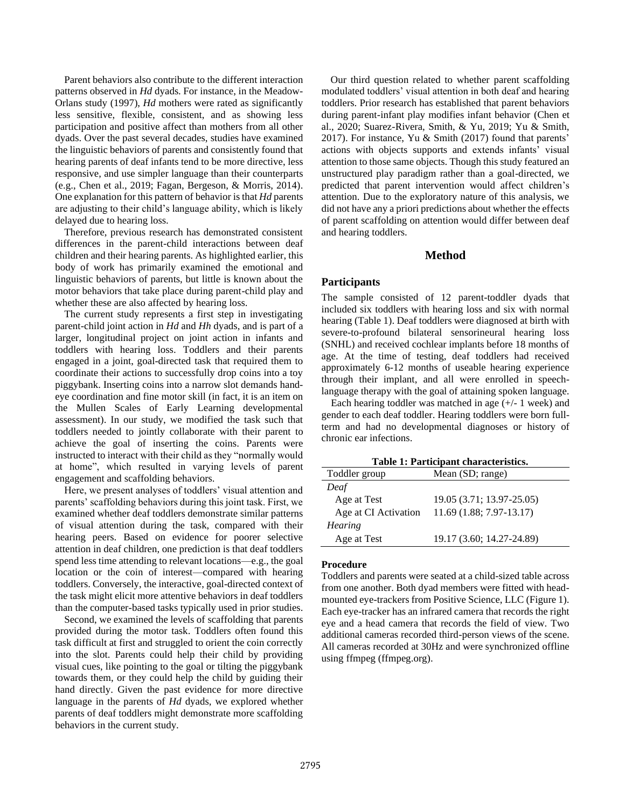Parent behaviors also contribute to the different interaction patterns observed in *Hd* dyads. For instance, in the Meadow-Orlans study (1997), *Hd* mothers were rated as significantly less sensitive, flexible, consistent, and as showing less participation and positive affect than mothers from all other dyads. Over the past several decades, studies have examined the linguistic behaviors of parents and consistently found that hearing parents of deaf infants tend to be more directive, less responsive, and use simpler language than their counterparts (e.g., Chen et al., 2019; Fagan, Bergeson, & Morris, 2014). One explanation for this pattern of behavior is that *Hd* parents are adjusting to their child's language ability, which is likely delayed due to hearing loss.

Therefore, previous research has demonstrated consistent differences in the parent-child interactions between deaf children and their hearing parents. As highlighted earlier, this body of work has primarily examined the emotional and linguistic behaviors of parents, but little is known about the motor behaviors that take place during parent-child play and whether these are also affected by hearing loss.

The current study represents a first step in investigating parent-child joint action in *Hd* and *Hh* dyads, and is part of a larger, longitudinal project on joint action in infants and toddlers with hearing loss. Toddlers and their parents engaged in a joint, goal-directed task that required them to coordinate their actions to successfully drop coins into a toy piggybank. Inserting coins into a narrow slot demands handeye coordination and fine motor skill (in fact, it is an item on the Mullen Scales of Early Learning developmental assessment). In our study, we modified the task such that toddlers needed to jointly collaborate with their parent to achieve the goal of inserting the coins. Parents were instructed to interact with their child as they "normally would at home", which resulted in varying levels of parent engagement and scaffolding behaviors.

Here, we present analyses of toddlers' visual attention and parents' scaffolding behaviors during this joint task. First, we examined whether deaf toddlers demonstrate similar patterns of visual attention during the task, compared with their hearing peers. Based on evidence for poorer selective attention in deaf children, one prediction is that deaf toddlers spend less time attending to relevant locations—e.g., the goal location or the coin of interest—compared with hearing toddlers. Conversely, the interactive, goal-directed context of the task might elicit more attentive behaviors in deaf toddlers than the computer-based tasks typically used in prior studies.

Second, we examined the levels of scaffolding that parents provided during the motor task. Toddlers often found this task difficult at first and struggled to orient the coin correctly into the slot. Parents could help their child by providing visual cues, like pointing to the goal or tilting the piggybank towards them, or they could help the child by guiding their hand directly. Given the past evidence for more directive language in the parents of *Hd* dyads, we explored whether parents of deaf toddlers might demonstrate more scaffolding behaviors in the current study.

Our third question related to whether parent scaffolding modulated toddlers' visual attention in both deaf and hearing toddlers. Prior research has established that parent behaviors during parent-infant play modifies infant behavior (Chen et al., 2020; Suarez-Rivera, Smith, & Yu, 2019; Yu & Smith, 2017). For instance, Yu & Smith (2017) found that parents' actions with objects supports and extends infants' visual attention to those same objects. Though this study featured an unstructured play paradigm rather than a goal-directed, we predicted that parent intervention would affect children's attention. Due to the exploratory nature of this analysis, we did not have any a priori predictions about whether the effects of parent scaffolding on attention would differ between deaf and hearing toddlers.

#### **Method**

#### **Participants**

The sample consisted of 12 parent-toddler dyads that included six toddlers with hearing loss and six with normal hearing (Table 1). Deaf toddlers were diagnosed at birth with severe-to-profound bilateral sensorineural hearing loss (SNHL) and received cochlear implants before 18 months of age. At the time of testing, deaf toddlers had received approximately 6-12 months of useable hearing experience through their implant, and all were enrolled in speechlanguage therapy with the goal of attaining spoken language.

Each hearing toddler was matched in age (+/- 1 week) and gender to each deaf toddler. Hearing toddlers were born fullterm and had no developmental diagnoses or history of chronic ear infections.

| Table 1: Participant characteristics. |                           |  |  |
|---------------------------------------|---------------------------|--|--|
| Toddler group                         | Mean (SD; range)          |  |  |
| Deaf                                  |                           |  |  |
| Age at Test                           | 19.05 (3.71; 13.97-25.05) |  |  |
| Age at CI Activation                  | 11.69 (1.88; 7.97-13.17)  |  |  |
| <b>Hearing</b>                        |                           |  |  |
| Age at Test                           | 19.17 (3.60; 14.27-24.89) |  |  |

#### **Procedure**

Toddlers and parents were seated at a child-sized table across from one another. Both dyad members were fitted with headmounted eye-trackers from Positive Science, LLC (Figure 1). Each eye-tracker has an infrared camera that records the right eye and a head camera that records the field of view. Two additional cameras recorded third-person views of the scene. All cameras recorded at 30Hz and were synchronized offline using ffmpeg (ffmpeg.org).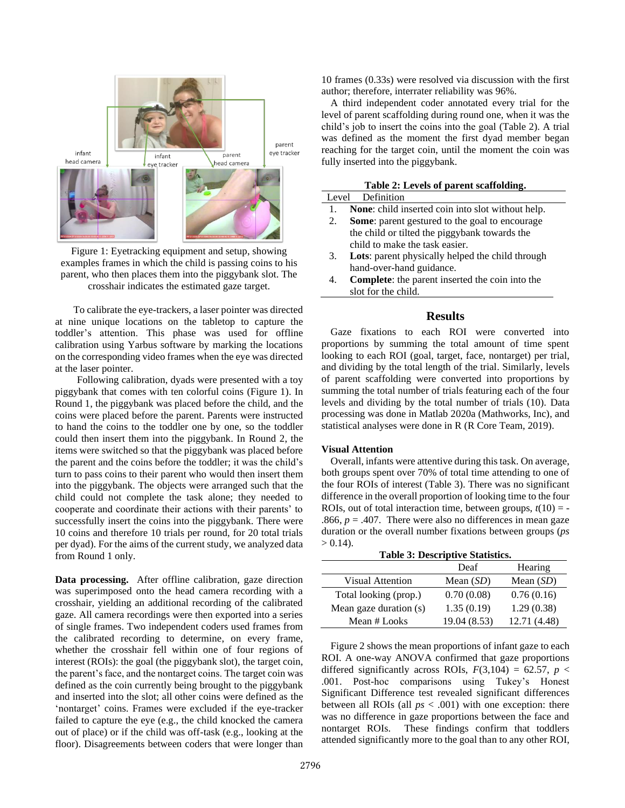

Figure 1: Eyetracking equipment and setup, showing examples frames in which the child is passing coins to his parent, who then places them into the piggybank slot. The crosshair indicates the estimated gaze target.

To calibrate the eye-trackers, a laser pointer was directed at nine unique locations on the tabletop to capture the toddler's attention. This phase was used for offline calibration using Yarbus software by marking the locations on the corresponding video frames when the eye was directed at the laser pointer.

Following calibration, dyads were presented with a toy piggybank that comes with ten colorful coins (Figure 1). In Round 1, the piggybank was placed before the child, and the coins were placed before the parent. Parents were instructed to hand the coins to the toddler one by one, so the toddler could then insert them into the piggybank. In Round 2, the items were switched so that the piggybank was placed before the parent and the coins before the toddler; it was the child's turn to pass coins to their parent who would then insert them into the piggybank. The objects were arranged such that the child could not complete the task alone; they needed to cooperate and coordinate their actions with their parents' to successfully insert the coins into the piggybank. There were 10 coins and therefore 10 trials per round, for 20 total trials per dyad). For the aims of the current study, we analyzed data from Round 1 only.

**Data processing.** After offline calibration, gaze direction was superimposed onto the head camera recording with a crosshair, yielding an additional recording of the calibrated gaze. All camera recordings were then exported into a series of single frames. Two independent coders used frames from the calibrated recording to determine, on every frame, whether the crosshair fell within one of four regions of interest (ROIs): the goal (the piggybank slot), the target coin, the parent's face, and the nontarget coins. The target coin was defined as the coin currently being brought to the piggybank and inserted into the slot; all other coins were defined as the 'nontarget' coins. Frames were excluded if the eye-tracker failed to capture the eye (e.g., the child knocked the camera out of place) or if the child was off-task (e.g., looking at the floor). Disagreements between coders that were longer than

10 frames (0.33s) were resolved via discussion with the first author; therefore, interrater reliability was 96%.

A third independent coder annotated every trial for the level of parent scaffolding during round one, when it was the child's job to insert the coins into the goal (Table 2). A trial was defined as the moment the first dyad member began reaching for the target coin, until the moment the coin was fully inserted into the piggybank.

#### **Table 2: Levels of parent scaffolding.**

|              | Level Definition                                         |
|--------------|----------------------------------------------------------|
| $\mathbf{L}$ | <b>None:</b> child inserted coin into slot without help. |
| 2.           | <b>Some:</b> parent gestured to the goal to encourage    |
|              | the child or tilted the piggybank towards the            |

- child to make the task easier. 3. **Lots**: parent physically helped the child through hand-over-hand guidance.
- 4. **Complete**: the parent inserted the coin into the slot for the child.

#### **Results**

Gaze fixations to each ROI were converted into proportions by summing the total amount of time spent looking to each ROI (goal, target, face, nontarget) per trial, and dividing by the total length of the trial. Similarly, levels of parent scaffolding were converted into proportions by summing the total number of trials featuring each of the four levels and dividing by the total number of trials (10). Data processing was done in Matlab 2020a (Mathworks, Inc), and statistical analyses were done in R (R Core Team, 2019).

#### **Visual Attention**

Overall, infants were attentive during this task. On average, both groups spent over 70% of total time attending to one of the four ROIs of interest (Table 3). There was no significant difference in the overall proportion of looking time to the four ROIs, out of total interaction time, between groups,  $t(10) = -$ .866,  $p = .407$ . There were also no differences in mean gaze duration or the overall number fixations between groups (*ps*  $> 0.14$ ).

| <b>Table 3: Descriptive Statistics.</b> |              |              |  |
|-----------------------------------------|--------------|--------------|--|
|                                         | Deaf         | Hearing      |  |
| Visual Attention                        | Mean $(SD)$  | Mean $(SD)$  |  |
| Total looking (prop.)                   | 0.70(0.08)   | 0.76(0.16)   |  |
| Mean gaze duration (s)                  | 1.35(0.19)   | 1.29(0.38)   |  |
| Mean # Looks                            | 19.04 (8.53) | 12.71 (4.48) |  |

Figure 2 shows the mean proportions of infant gaze to each ROI. A one-way ANOVA confirmed that gaze proportions differed significantly across ROIs,  $F(3,104) = 62.57$ ,  $p <$ .001. Post-hoc comparisons using Tukey's Honest Significant Difference test revealed significant differences between all ROIs (all *ps* < .001) with one exception: there was no difference in gaze proportions between the face and nontarget ROIs. These findings confirm that toddlers attended significantly more to the goal than to any other ROI,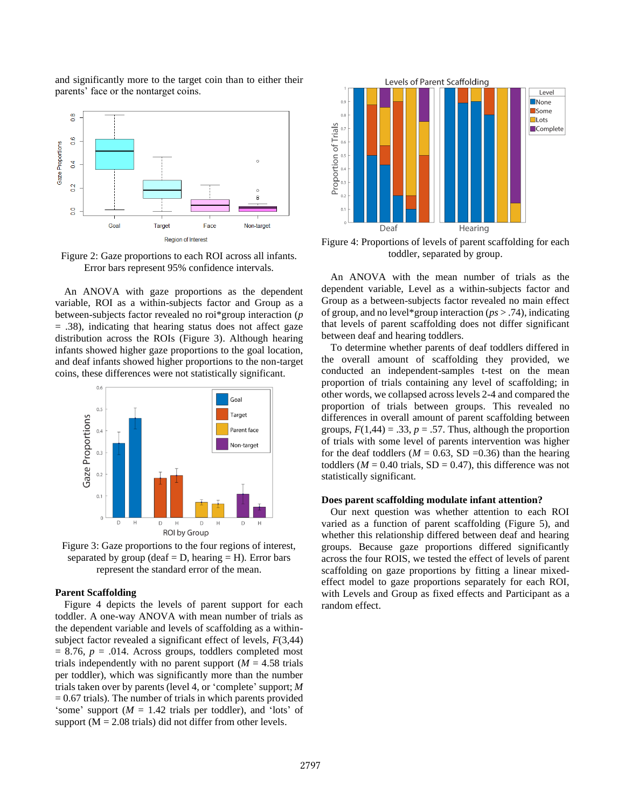and significantly more to the target coin than to either their parents' face or the nontarget coins.



Figure 2: Gaze proportions to each ROI across all infants. Error bars represent 95% confidence intervals.

An ANOVA with gaze proportions as the dependent variable, ROI as a within-subjects factor and Group as a between-subjects factor revealed no roi\*group interaction (*p*  $=$  .38), indicating that hearing status does not affect gaze distribution across the ROIs (Figure 3). Although hearing infants showed higher gaze proportions to the goal location, and deaf infants showed higher proportions to the non-target coins, these differences were not statistically significant.



Figure 3: Gaze proportions to the four regions of interest, separated by group (deaf  $= D$ , hearing  $= H$ ). Error bars represent the standard error of the mean.

#### **Parent Scaffolding**

Figure 4 depicts the levels of parent support for each toddler. A one-way ANOVA with mean number of trials as the dependent variable and levels of scaffolding as a withinsubject factor revealed a significant effect of levels, *F*(3,44)  $= 8.76$ ,  $p = .014$ . Across groups, toddlers completed most trials independently with no parent support  $(M = 4.58$  trials per toddler), which was significantly more than the number trials taken over by parents (level 4, or 'complete' support; *M*  $= 0.67$  trials). The number of trials in which parents provided 'some' support (*M* = 1.42 trials per toddler), and 'lots' of support  $(M = 2.08 \text{ trials})$  did not differ from other levels.



Figure 4: Proportions of levels of parent scaffolding for each toddler, separated by group.

An ANOVA with the mean number of trials as the dependent variable, Level as a within-subjects factor and Group as a between-subjects factor revealed no main effect of group, and no level\*group interaction (*ps* > .74), indicating that levels of parent scaffolding does not differ significant between deaf and hearing toddlers.

To determine whether parents of deaf toddlers differed in the overall amount of scaffolding they provided, we conducted an independent-samples t-test on the mean proportion of trials containing any level of scaffolding; in other words, we collapsed across levels 2-4 and compared the proportion of trials between groups. This revealed no differences in overall amount of parent scaffolding between groups,  $F(1,44) = .33$ ,  $p = .57$ . Thus, although the proportion of trials with some level of parents intervention was higher for the deaf toddlers ( $M = 0.63$ , SD = 0.36) than the hearing toddlers ( $M = 0.40$  trials,  $SD = 0.47$ ), this difference was not statistically significant.

#### **Does parent scaffolding modulate infant attention?**

Our next question was whether attention to each ROI varied as a function of parent scaffolding (Figure 5), and whether this relationship differed between deaf and hearing groups. Because gaze proportions differed significantly across the four ROIS, we tested the effect of levels of parent scaffolding on gaze proportions by fitting a linear mixedeffect model to gaze proportions separately for each ROI, with Levels and Group as fixed effects and Participant as a random effect.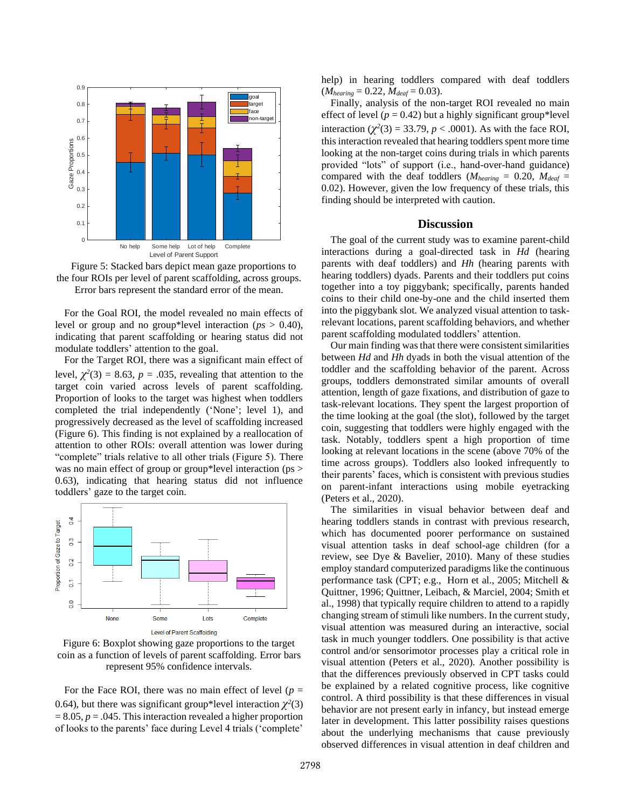



For the Goal ROI, the model revealed no main effects of level or group and no group\*level interaction (*ps* > 0.40), indicating that parent scaffolding or hearing status did not modulate toddlers' attention to the goal.

For the Target ROI, there was a significant main effect of level,  $\chi^2(3) = 8.63$ ,  $p = .035$ , revealing that attention to the target coin varied across levels of parent scaffolding. Proportion of looks to the target was highest when toddlers completed the trial independently ('None'; level 1), and progressively decreased as the level of scaffolding increased (Figure 6). This finding is not explained by a reallocation of attention to other ROIs: overall attention was lower during "complete" trials relative to all other trials (Figure 5). There was no main effect of group or group\*level interaction (ps > 0.63), indicating that hearing status did not influence toddlers' gaze to the target coin.



Figure 6: Boxplot showing gaze proportions to the target coin as a function of levels of parent scaffolding. Error bars represent 95% confidence intervals.

For the Face ROI, there was no main effect of level ( $p =$ 0.64), but there was significant group\*level interaction  $\chi^2(3)$  $= 8.05, p = .045$ . This interaction revealed a higher proportion of looks to the parents' face during Level 4 trials ('complete'

help) in hearing toddlers compared with deaf toddlers  $(M_{hearing} = 0.22, M_{deaf} = 0.03).$ 

Finally, analysis of the non-target ROI revealed no main effect of level ( $p = 0.42$ ) but a highly significant group\*level interaction  $(\chi^2(3) = 33.79, p < .0001)$ . As with the face ROI, this interaction revealed that hearing toddlers spent more time looking at the non-target coins during trials in which parents provided "lots" of support (i.e., hand-over-hand guidance) compared with the deaf toddlers ( $M_{hearing} = 0.20$ ,  $M_{deaf} =$ 0.02). However, given the low frequency of these trials, this finding should be interpreted with caution.

#### **Discussion**

The goal of the current study was to examine parent-child interactions during a goal-directed task in *Hd* (hearing parents with deaf toddlers) and *Hh* (hearing parents with hearing toddlers) dyads. Parents and their toddlers put coins together into a toy piggybank; specifically, parents handed coins to their child one-by-one and the child inserted them into the piggybank slot. We analyzed visual attention to taskrelevant locations, parent scaffolding behaviors, and whether parent scaffolding modulated toddlers' attention.

Our main finding was that there were consistent similarities between *Hd* and *Hh* dyads in both the visual attention of the toddler and the scaffolding behavior of the parent. Across groups, toddlers demonstrated similar amounts of overall attention, length of gaze fixations, and distribution of gaze to task-relevant locations. They spent the largest proportion of the time looking at the goal (the slot), followed by the target coin, suggesting that toddlers were highly engaged with the task. Notably, toddlers spent a high proportion of time looking at relevant locations in the scene (above 70% of the time across groups). Toddlers also looked infrequently to their parents' faces, which is consistent with previous studies on parent-infant interactions using mobile eyetracking (Peters et al., 2020).

The similarities in visual behavior between deaf and hearing toddlers stands in contrast with previous research, which has documented poorer performance on sustained visual attention tasks in deaf school-age children (for a review, see Dye & Bavelier, 2010). Many of these studies employ standard computerized paradigms like the continuous performance task (CPT; e.g., Horn et al., 2005; Mitchell & Quittner, 1996; Quittner, Leibach, & Marciel, 2004; Smith et al., 1998) that typically require children to attend to a rapidly changing stream of stimuli like numbers. In the current study, visual attention was measured during an interactive, social task in much younger toddlers. One possibility is that active control and/or sensorimotor processes play a critical role in visual attention (Peters et al., 2020). Another possibility is that the differences previously observed in CPT tasks could be explained by a related cognitive process, like cognitive control. A third possibility is that these differences in visual behavior are not present early in infancy, but instead emerge later in development. This latter possibility raises questions about the underlying mechanisms that cause previously observed differences in visual attention in deaf children and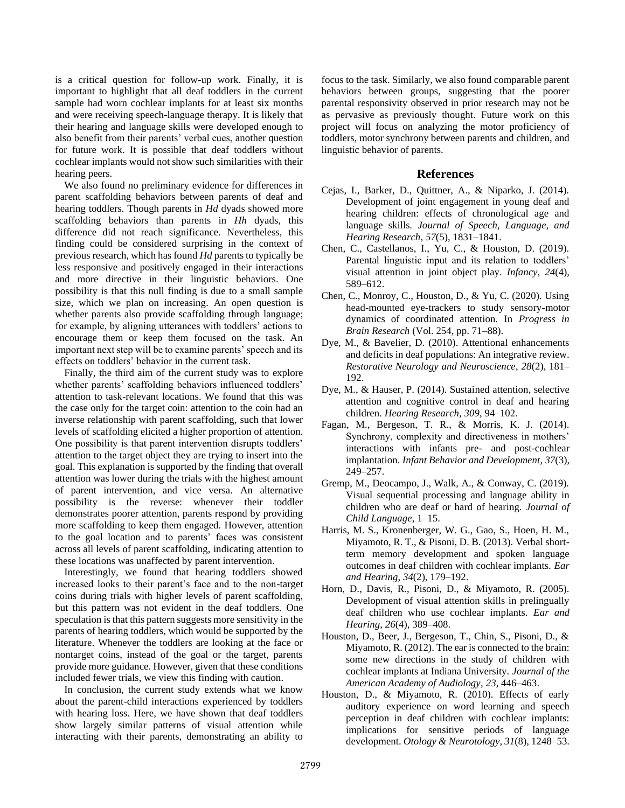is a critical question for follow-up work. Finally, it is important to highlight that all deaf toddlers in the current sample had worn cochlear implants for at least six months and were receiving speech-language therapy. It is likely that their hearing and language skills were developed enough to also benefit from their parents' verbal cues, another question for future work. It is possible that deaf toddlers without cochlear implants would not show such similarities with their hearing peers.

We also found no preliminary evidence for differences in parent scaffolding behaviors between parents of deaf and hearing toddlers. Though parents in *Hd* dyads showed more scaffolding behaviors than parents in *Hh* dyads, this difference did not reach significance. Nevertheless, this finding could be considered surprising in the context of previous research, which has found *Hd* parents to typically be less responsive and positively engaged in their interactions and more directive in their linguistic behaviors. One possibility is that this null finding is due to a small sample size, which we plan on increasing. An open question is whether parents also provide scaffolding through language; for example, by aligning utterances with toddlers' actions to encourage them or keep them focused on the task. An important next step will be to examine parents' speech and its effects on toddlers' behavior in the current task.

Finally, the third aim of the current study was to explore whether parents' scaffolding behaviors influenced toddlers' attention to task-relevant locations. We found that this was the case only for the target coin: attention to the coin had an inverse relationship with parent scaffolding, such that lower levels of scaffolding elicited a higher proportion of attention. One possibility is that parent intervention disrupts toddlers' attention to the target object they are trying to insert into the goal. This explanation is supported by the finding that overall attention was lower during the trials with the highest amount of parent intervention, and vice versa. An alternative possibility is the reverse: whenever their toddler demonstrates poorer attention, parents respond by providing more scaffolding to keep them engaged. However, attention to the goal location and to parents' faces was consistent across all levels of parent scaffolding, indicating attention to these locations was unaffected by parent intervention.

Interestingly, we found that hearing toddlers showed increased looks to their parent's face and to the non-target coins during trials with higher levels of parent scaffolding, but this pattern was not evident in the deaf toddlers. One speculation is that this pattern suggests more sensitivity in the parents of hearing toddlers, which would be supported by the literature. Whenever the toddlers are looking at the face or nontarget coins, instead of the goal or the target, parents provide more guidance. However, given that these conditions included fewer trials, we view this finding with caution.

In conclusion, the current study extends what we know about the parent-child interactions experienced by toddlers with hearing loss. Here, we have shown that deaf toddlers show largely similar patterns of visual attention while interacting with their parents, demonstrating an ability to focus to the task. Similarly, we also found comparable parent behaviors between groups, suggesting that the poorer parental responsivity observed in prior research may not be as pervasive as previously thought. Future work on this project will focus on analyzing the motor proficiency of toddlers, motor synchrony between parents and children, and linguistic behavior of parents.

#### **References**

- Cejas, I., Barker, D., Quittner, A., & Niparko, J. (2014). Development of joint engagement in young deaf and hearing children: effects of chronological age and language skills. *Journal of Speech, Language, and Hearing Research*, *57*(5), 1831–1841.
- Chen, C., Castellanos, I., Yu, C., & Houston, D. (2019). Parental linguistic input and its relation to toddlers' visual attention in joint object play. *Infancy*, *24*(4), 589–612.
- Chen, C., Monroy, C., Houston, D., & Yu, C. (2020). Using head-mounted eye-trackers to study sensory-motor dynamics of coordinated attention. In *Progress in Brain Research* (Vol. 254, pp. 71–88).
- Dye, M., & Bavelier, D. (2010). Attentional enhancements and deficits in deaf populations: An integrative review. *Restorative Neurology and Neuroscience*, *28*(2), 181– 192.
- Dye, M., & Hauser, P. (2014). Sustained attention, selective attention and cognitive control in deaf and hearing children. *Hearing Research*, *309*, 94–102.
- Fagan, M., Bergeson, T. R., & Morris, K. J. (2014). Synchrony, complexity and directiveness in mothers' interactions with infants pre- and post-cochlear implantation. *Infant Behavior and Development*, *37*(3), 249–257.
- Gremp, M., Deocampo, J., Walk, A., & Conway, C. (2019). Visual sequential processing and language ability in children who are deaf or hard of hearing. *Journal of Child Language*, 1–15.
- Harris, M. S., Kronenberger, W. G., Gao, S., Hoen, H. M., Miyamoto, R. T., & Pisoni, D. B. (2013). Verbal shortterm memory development and spoken language outcomes in deaf children with cochlear implants. *Ear and Hearing*, *34*(2), 179–192.
- Horn, D., Davis, R., Pisoni, D., & Miyamoto, R. (2005). Development of visual attention skills in prelingually deaf children who use cochlear implants. *Ear and Hearing*, *26*(4), 389–408.
- Houston, D., Beer, J., Bergeson, T., Chin, S., Pisoni, D., & Miyamoto, R. (2012). The ear is connected to the brain: some new directions in the study of children with cochlear implants at Indiana University. *Journal of the American Academy of Audiology*, *23*, 446–463.
- Houston, D., & Miyamoto, R. (2010). Effects of early auditory experience on word learning and speech perception in deaf children with cochlear implants: implications for sensitive periods of language development. *Otology & Neurotology*, *31*(8), 1248–53.